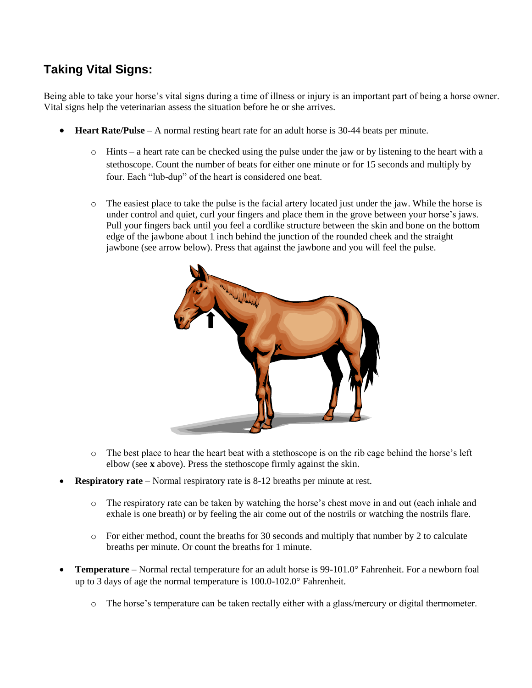## **Taking Vital Signs:**

Being able to take your horse's vital signs during a time of illness or injury is an important part of being a horse owner. Vital signs help the veterinarian assess the situation before he or she arrives.

- **Heart Rate/Pulse** A normal resting heart rate for an adult horse is 30-44 beats per minute.
	- $\circ$  Hints a heart rate can be checked using the pulse under the jaw or by listening to the heart with a stethoscope. Count the number of beats for either one minute or for 15 seconds and multiply by four. Each "lub-dup" of the heart is considered one beat.
	- o The easiest place to take the pulse is the facial artery located just under the jaw. While the horse is under control and quiet, curl your fingers and place them in the grove between your horse's jaws. Pull your fingers back until you feel a cordlike structure between the skin and bone on the bottom edge of the jawbone about 1 inch behind the junction of the rounded cheek and the straight jawbone (see arrow below). Press that against the jawbone and you will feel the pulse.



- o The best place to hear the heart beat with a stethoscope is on the rib cage behind the horse's left elbow (see **x** above). Press the stethoscope firmly against the skin.
- **Respiratory rate** Normal respiratory rate is 8-12 breaths per minute at rest.
	- o The respiratory rate can be taken by watching the horse's chest move in and out (each inhale and exhale is one breath) or by feeling the air come out of the nostrils or watching the nostrils flare.
	- $\circ$  For either method, count the breaths for 30 seconds and multiply that number by 2 to calculate breaths per minute. Or count the breaths for 1 minute.
- **Temperature** Normal rectal temperature for an adult horse is 99-101.0° Fahrenheit. For a newborn foal up to 3 days of age the normal temperature is  $100.0-102.0^\circ$  Fahrenheit.
	- o The horse's temperature can be taken rectally either with a glass/mercury or digital thermometer.